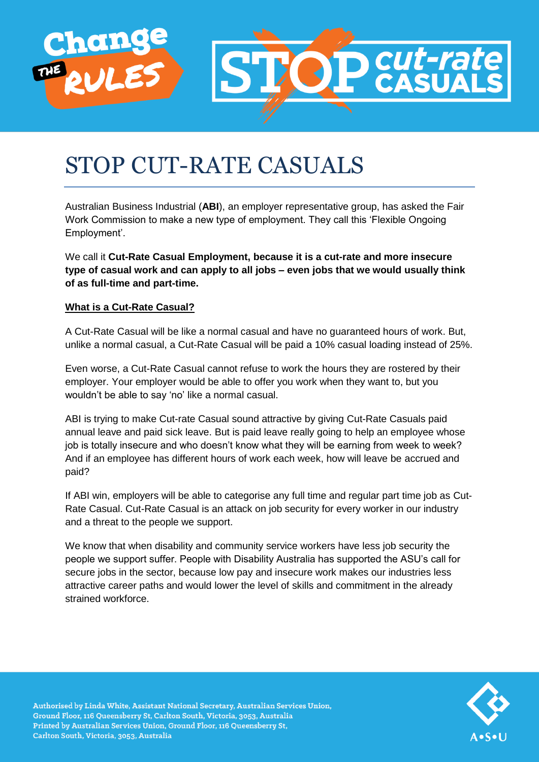

# STOP CUT-RATE CASUALS

Australian Business Industrial (**ABI**), an employer representative group, has asked the Fair Work Commission to make a new type of employment. They call this 'Flexible Ongoing Employment'.

We call it **Cut-Rate Casual Employment, because it is a cut-rate and more insecure type of casual work and can apply to all jobs – even jobs that we would usually think of as full-time and part-time.**

# **What is a Cut-Rate Casual?**

A Cut-Rate Casual will be like a normal casual and have no guaranteed hours of work. But, unlike a normal casual, a Cut-Rate Casual will be paid a 10% casual loading instead of 25%.

Even worse, a Cut-Rate Casual cannot refuse to work the hours they are rostered by their employer. Your employer would be able to offer you work when they want to, but you wouldn't be able to say 'no' like a normal casual.

ABI is trying to make Cut-rate Casual sound attractive by giving Cut-Rate Casuals paid annual leave and paid sick leave. But is paid leave really going to help an employee whose job is totally insecure and who doesn't know what they will be earning from week to week? And if an employee has different hours of work each week, how will leave be accrued and paid?

If ABI win, employers will be able to categorise any full time and regular part time job as Cut-Rate Casual. Cut-Rate Casual is an attack on job security for every worker in our industry and a threat to the people we support.

We know that when disability and community service workers have less job security the people we support suffer. People with Disability Australia has supported the ASU's call for secure jobs in the sector, because low pay and insecure work makes our industries less attractive career paths and would lower the level of skills and commitment in the already strained workforce.



Authorised by Linda White, Assistant National Secretary, Australian Services Union, Ground Floor, 116 Queensberry St, Carlton South, Victoria, 3053, Australia Printed by Australian Services Union, Ground Floor, 116 Queensberry St, Carlton South, Victoria, 3053, Australia